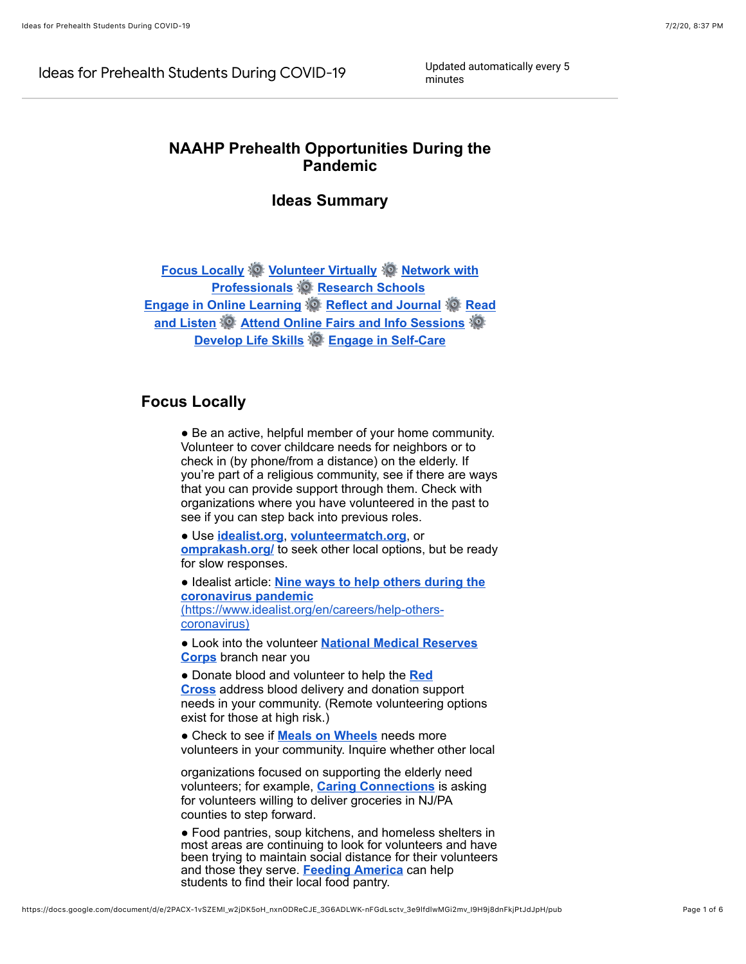Ideas for Prehealth Students During COVID-19 Updated automatically every 5

minutes

# **NAAHP Prehealth Opportunities During the Pandemic**

## **Ideas Summary**

**[Focus Locally](#page-0-0) © [Volunteer Virtually](#page-1-0) © Network with Professionals [Research Schools](#page-1-2) [Engage in Online Learning](#page-2-0) & [Reflect and Journal](#page-2-1) & Read and Listen <sup>3</sup> [Attend Online Fairs and Info Sessions](#page-2-2) [Develop Life Skills](#page-4-0) [Engage in Self-Care](#page-4-1)**

## <span id="page-0-0"></span>**Focus Locally**

• Be an active, helpful member of your home community. Volunteer to cover childcare needs for neighbors or to check in (by phone/from a distance) on the elderly. If you're part of a religious community, see if there are ways that you can provide support through them. Check with organizations where you have volunteered in the past to see if you can step back into previous roles.

● Use **[idealist.org](https://www.google.com/url?q=https://www.idealist.org/en/&sa=D&ust=1593743612271000&usg=AOvVaw17b03zOUBauC4wDO8g4lCY)**, **[volunteermatch.org](https://www.google.com/url?q=https://www.volunteermatch.org/&sa=D&ust=1593743612271000&usg=AOvVaw01vD2H0PjhCRASd6k__jPC)**, or **[omprakash.org/](https://www.google.com/url?q=https://www.omprakash.org/&sa=D&ust=1593743612272000&usg=AOvVaw3XR9s4jQYPLH-Vej-lDA6w)** to seek other local options, but be ready for slow responses.

● Idealist article: **[Nine ways to help others during the](https://www.google.com/url?q=https://www.idealist.org/en/careers/help-others-coronavirus&sa=D&ust=1593743612272000&usg=AOvVaw3zYwdEYZFkOgtyarNzCxM8) coronavirus pandemic** [\(https://www.idealist.org/en/careers/help-others](https://www.google.com/url?q=https://www.idealist.org/en/careers/help-others-coronavirus&sa=D&ust=1593743612272000&usg=AOvVaw3zYwdEYZFkOgtyarNzCxM8)coronavirus)

● Look into the volunteer **[National Medical Reserves](https://www.google.com/url?q=https://mrc.hhs.gov/volunteerfldr/AboutVolunteering&sa=D&ust=1593743612273000&usg=AOvVaw0uxAWGtApabeq4-nfn-UHb) Corps** branch near you

● [Donate blood and volunteer to help the](https://www.google.com/url?q=https://www.redcross.org/volunteer/become-a-volunteer.html&sa=D&ust=1593743612273000&usg=AOvVaw3eOMUD9naIw9whdHzbQf0j) **Red Cross** address blood delivery and donation support needs in your community. (Remote volunteering options exist for those at high risk.)

● Check to see if **[Meals on Wheels](https://www.google.com/url?q=https://www.mealsonwheelsamerica.org/americaletsdolunch&sa=D&ust=1593743612274000&usg=AOvVaw0yBwuTSudn80DKKqHVZym9)** needs more volunteers in your community. Inquire whether other local

organizations focused on supporting the elderly need volunteers; for example, **[Caring Connections](https://www.google.com/url?q=https://caringconnectionsnj.org/donate/?fbclid%3DIwAR2PbEXpnuDI0osrva4y-Vlwcz0uFvZFj9KY290U9ZCjkNyygemqNA01NdI&sa=D&ust=1593743612274000&usg=AOvVaw0150FtxMTIO51evHBPx_1T)** is asking for volunteers willing to deliver groceries in NJ/PA counties to step forward.

• Food pantries, soup kitchens, and homeless shelters in most areas are continuing to look for volunteers and have been trying to maintain social distance for their volunteers and those they serve. **[Feeding America](https://www.google.com/url?q=https://www.feedingamerica.org/&sa=D&ust=1593743612274000&usg=AOvVaw14tYqSJ6JjfUpFIK0R-1Cb)** can help students to find their local food pantry.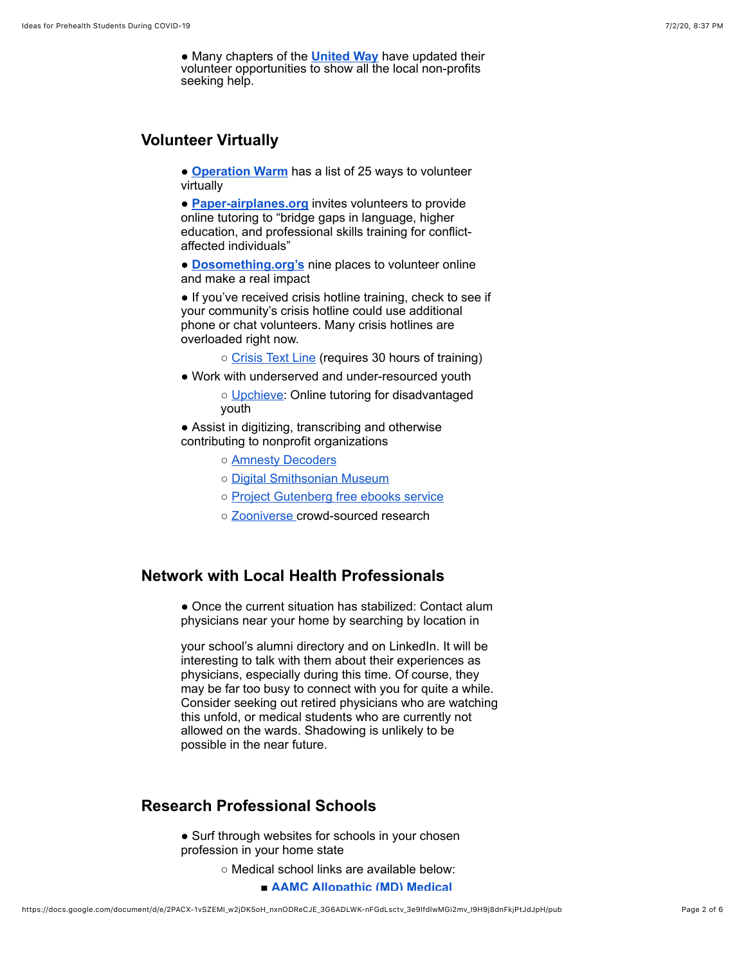● Many chapters of the **[United Way](https://www.google.com/url?q=https://www.unitedway.org/find-your-united-way/&sa=D&ust=1593743612275000&usg=AOvVaw3R3eKb-3IHt8wlVI-yMFNi)** have updated their volunteer opportunities to show all the local non-profits seeking help.

# <span id="page-1-0"></span>**Volunteer Virtually**

● **[Operation Warm](https://www.google.com/url?q=https://www.operationwarm.org/blog/25-volunteer-jobs-to-do-from-home/?utm_source%3Dnewsletter%26utm_medium%3Demail%26utm_campaign%3Dpre_health_sciences_newsletter%26utm_term%3D2020-03-18&sa=D&ust=1593743612275000&usg=AOvVaw0Ho4UEPZeuz7qjBJc4xvit)** has a list of 25 ways to volunteer virtually

● **[Paper-airplanes.org](https://www.google.com/url?q=https://www.paper-airplanes.org/&sa=D&ust=1593743612276000&usg=AOvVaw3CcCcHrZdlJezFL8Lggh2A)** invites volunteers to provide online tutoring to "bridge gaps in language, higher education, and professional skills training for conflictaffected individuals"

● **[Dosomething.org's](https://www.google.com/url?q=https://www.dosomething.org/us/articles/9-places-to-volunteer-online-and-make-a-real-impact&sa=D&ust=1593743612276000&usg=AOvVaw296kwxAoscr2G7y8Qa2tND)** nine places to volunteer online and make a real impact

• If you've received crisis hotline training, check to see if your community's crisis hotline could use additional phone or chat volunteers. Many crisis hotlines are overloaded right now.

- [Crisis Text Line](https://www.google.com/url?q=https://www.crisistextline.org/become-a-volunteer/&sa=D&ust=1593743612277000&usg=AOvVaw2-fFVbdhro0TI0dfRJETIn) (requires 30 hours of training)
- Work with underserved and under-resourced youth
	- [Upchieve:](https://www.google.com/url?q=https://upchieve.org/volunteer&sa=D&ust=1593743612277000&usg=AOvVaw2X2luTyMMNT6FovVF4zdd5) Online tutoring for disadvantaged youth

• Assist in digitizing, transcribing and otherwise contributing to nonprofit organizations

- [Amnesty Decoders](https://www.google.com/url?q=https://decoders.amnesty.org/&sa=D&ust=1593743612277000&usg=AOvVaw3DLo6MUIM1_H0XUDI4YSpc)
- [Digital Smithsonian Museum](https://www.google.com/url?q=https://transcription.si.edu/&sa=D&ust=1593743612278000&usg=AOvVaw0RQKnSnbqv0ut1XMaL37VI)
- [Project Gutenberg free ebooks service](https://www.google.com/url?q=https://www.gutenberg.org/wiki/Category:Volunteering&sa=D&ust=1593743612278000&usg=AOvVaw1OARkmGaKW0bA-sOmXpp9k)
- [Zooniverse](https://www.google.com/url?q=https://www.zooniverse.org/&sa=D&ust=1593743612278000&usg=AOvVaw29VFhEtL-xDGHdFMdTn3aO) crowd-sourced research

#### <span id="page-1-1"></span>**Network with Local Health Professionals**

• Once the current situation has stabilized: Contact alum physicians near your home by searching by location in

your school's alumni directory and on LinkedIn. It will be interesting to talk with them about their experiences as physicians, especially during this time. Of course, they may be far too busy to connect with you for quite a while. Consider seeking out retired physicians who are watching this unfold, or medical students who are currently not allowed on the wards. Shadowing is unlikely to be possible in the near future.

# <span id="page-1-2"></span>**Research Professional Schools**

• Surf through websites for schools in your chosen profession in your home state

- Medical school links are available below:
	- **[AAMC Allopathic \(MD\) Medical](https://www.google.com/url?q=https://members.aamc.org/eweb/DynamicPage.aspx?site%3DAAMC%26webcode%3DAAMCOrgSearchResult%26orgtype%3DMedical%2520School&sa=D&ust=1593743612280000&usg=AOvVaw0pnfFf1_4MGrdBbv_Tl5UQ)**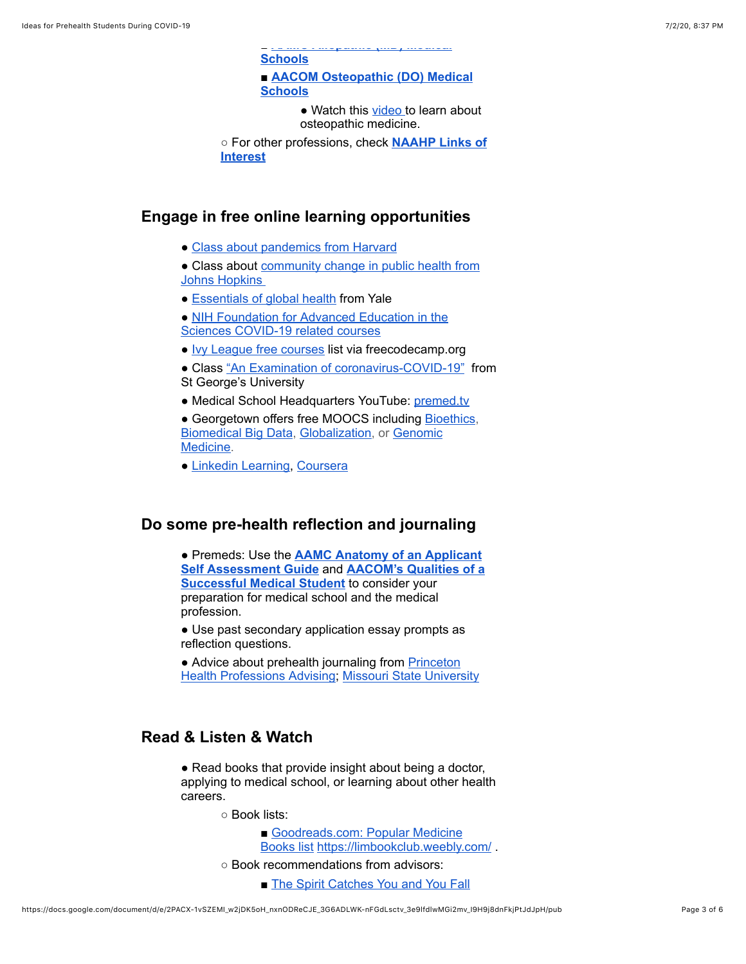■ **AAMC Allopathic (MD) Medical [Schools](https://www.google.com/url?q=https://members.aamc.org/eweb/DynamicPage.aspx?site%3DAAMC%26webcode%3DAAMCOrgSearchResult%26orgtype%3DMedical%2520School&sa=D&ust=1593743612280000&usg=AOvVaw0pnfFf1_4MGrdBbv_Tl5UQ)**

■ **AACOM** Osteopathic (DO) Medical **Schools**

> • Watch this [video t](https://www.google.com/url?q=https://www.youtube.com/watch?v%3DiewW5wjH3nE&sa=D&ust=1593743612281000&usg=AOvVaw03kqR5Dn7S9SQB1o_LecBa)o learn about osteopathic medicine.

○ [For other professions, check](https://www.google.com/url?q=https://www.naahp.org/student-resources/links-of-interest&sa=D&ust=1593743612281000&usg=AOvVaw3WPUIgD8iledBIpvEsYAx6) **NAAHP Links of Interest**

#### <span id="page-2-0"></span>**Engage in free online learning opportunities**

• [Class about pandemics from Harvard](https://www.google.com/url?q=https://online-learning.harvard.edu/course/lessons-ebola-preventing-next-pandemic?delta%3D0&sa=D&ust=1593743612281000&usg=AOvVaw04Ks-XQmTZiHMmBVE0_Acr)

• Class about [community change in public health from](https://www.google.com/url?q=https://www.classcentral.com/course/communitychange-397&sa=D&ust=1593743612282000&usg=AOvVaw2L8Y4y0n54cnzsUroaprwe) Johns Hopkins

• [Essentials of global health](https://www.google.com/url?q=https://www.coursera.org/learn/essentials-global-health&sa=D&ust=1593743612282000&usg=AOvVaw3ej2IvmWnSOw9pnY6dxyy0) from Yale

● [NIH Foundation for Advanced Education in the](https://www.google.com/url?q=https://faes.org/content/covid-19-related-courses&sa=D&ust=1593743612282000&usg=AOvVaw3vrwJ6VtMU_cdhp4iKZ9fo) Sciences COVID-19 related courses

● [Ivy League free courses](https://www.google.com/url?q=https://www.freecodecamp.org/news/ivy-league-free-online-courses-a0d7ae675869/&sa=D&ust=1593743612283000&usg=AOvVaw106I0mcwyoZBA7fwtPxQtP) list via freecodecamp.org

● Class ["An Examination of coronavirus-COVID-19"](https://www.google.com/url?q=https://online.sgu.edu/coronavirus/?mc_cid%3D61b146c66d%26mc_eid%3Db3b15ff0a7&sa=D&ust=1593743612283000&usg=AOvVaw0InV_Ga9fAr6ustm7imvU3) from St George's University

• Medical School Headquarters YouTube: [premed.tv](https://www.google.com/url?q=https://www.youtube.com/user/MedicalSchoolHQ&sa=D&ust=1593743612284000&usg=AOvVaw1Ihw0d1vXASUvS0mI5sAel)

• Georgetown offers free MOOCS including **[Bioethics](https://www.google.com/url?q=https://kennedyinstitute.georgetown.edu/news-events/introduction-to-bioethics-mooc-re-launches-april-15/&sa=D&ust=1593743612284000&usg=AOvVaw3CByqoVWIOGqoF39qO5pGQ)**, [Biomedical Big Data, Globalization, or Genomic](https://www.google.com/url?q=https://www.edx.org/course/genomic-medicine-gets-personal&sa=D&ust=1593743612285000&usg=AOvVaw25j-lR0KdcLE4u0d2WD7Fe) Medicine.

● [Linkedin Learning](https://www.google.com/url?q=https://www.linkedin.com/learning/&sa=D&ust=1593743612285000&usg=AOvVaw1mwsH7x-2qJs7L8pGuDOCt), [Coursera](https://www.google.com/url?q=https://www.coursera.org/browse/health&sa=D&ust=1593743612285000&usg=AOvVaw3gR0776p_nZ3NetHCYvY_p)

#### <span id="page-2-1"></span>**Do some pre-health reflection and journaling**

● Premeds: Use the **[AAMC Anatomy of an Applicant](https://www.google.com/url?q=https://students-residents.aamc.org/applying-medical-school/preparing-med-school/anatomy-applicant/&sa=D&ust=1593743612286000&usg=AOvVaw2HnB5qH7h_XCLCcpfwcsxu) Self Assessment Guide** and **AACOM's Qualities of a [Successful Medical Student](https://www.google.com/url?q=https://choosedo.org/qualities-successful-osteopathic-medical-student/&sa=D&ust=1593743612286000&usg=AOvVaw2I_VCkI0V709oebuElA1Z1)** to consider your preparation for medical school and the medical profession.

• Use past secondary application essay prompts as reflection questions.

• Advice about prehealth journaling from Princeton [Health Professions Advising; Missouri State Unive](https://www.google.com/url?q=https://hpa.princeton.edu/news/question-week-journaling-pre-health-student&sa=D&ust=1593743612286000&usg=AOvVaw1WaXHqjtxHjwicqj1dssAc)[rsity](https://www.google.com/url?q=https://www.missouristate.edu/bms/cmb/PremedJournal.htm&sa=D&ust=1593743612287000&usg=AOvVaw1uIrwhzLsP0TUOfDR2eufD)

## <span id="page-2-2"></span>**Read & Listen & Watch**

• Read books that provide insight about being a doctor, applying to medical school, or learning about other health careers.

○ Book lists:

- [Goodreads.com: Popular Medicine](https://www.google.com/url?q=https://www.goodreads.com/shelf/show/medicine&sa=D&ust=1593743612287000&usg=AOvVaw0sr74lQmfWVgUgNjHk30nD) Books list [https://limbookclub.weebly.com/](https://www.google.com/url?q=https://limbookclub.weebly.com/&sa=D&ust=1593743612287000&usg=AOvVaw2CK6wlD8sslaDYAelbNkLa) .
- Book recommendations from advisors:
	- [The Spirit Catches You and You Fall](https://www.google.com/url?q=https://www.goodreads.com/book/show/12609.The_Spirit_Catches_You_and_You_Fall_Down&sa=D&ust=1593743612288000&usg=AOvVaw0gflyNvRJ18ZZsfEOjHUOi)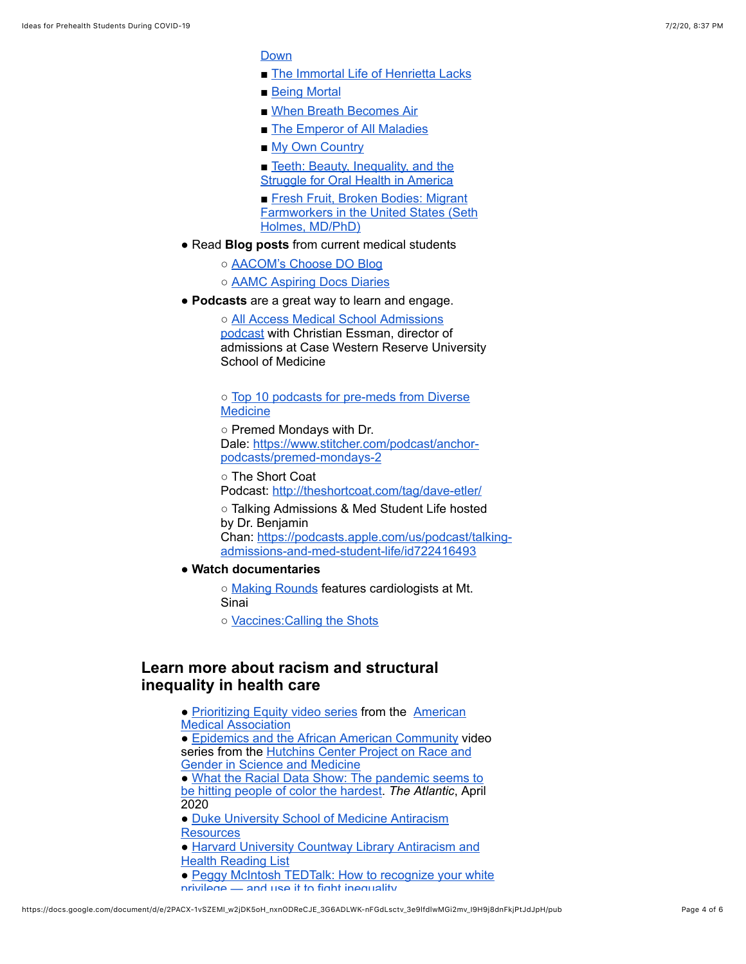[Down](https://www.google.com/url?q=https://www.goodreads.com/book/show/12609.The_Spirit_Catches_You_and_You_Fall_Down&sa=D&ust=1593743612288000&usg=AOvVaw0gflyNvRJ18ZZsfEOjHUOi)

■ [The Immortal Life of Henrietta Lacks](https://www.google.com/url?q=https://www.goodreads.com/book/show/6493208-the-immortal-life-of-henrietta-lacks&sa=D&ust=1593743612288000&usg=AOvVaw3Ffk_QeixJJeNrtL0fVYTx)

■ The Spirit Catches You and You Fall

- [Being Mortal](https://www.google.com/url?q=https://www.goodreads.com/book/show/20696006-being-mortal&sa=D&ust=1593743612288000&usg=AOvVaw3UYS-mwY_B7urm92vGZZRs)
- [When Breath Becomes Air](https://www.google.com/url?q=https://www.goodreads.com/book/show/25899336-when-breath-becomes-air&sa=D&ust=1593743612289000&usg=AOvVaw2AgHfj1R8nACmkj5HSsEFY)
- [The Emperor of All Maladies](https://www.google.com/url?q=https://www.goodreads.com/book/show/7170627-the-emperor-of-all-maladies?ac%3D1%26from_search%3Dtrue%26qid%3DaPnHcPqOug%26rank%3D1&sa=D&ust=1593743612289000&usg=AOvVaw0fjHZeimCP_5plGnxlUyXn)
- [My](https://www.google.com/url?q=https://www.goodreads.com/book/show/161121.My_Own_Country?from_search%3Dtrue%26qid%3DTE3Awqu88e%26rank%3D2&sa=D&ust=1593743612289000&usg=AOvVaw2oFOKJQBaNVhK5G28xbdYJ) [Own Country](https://www.google.com/url?q=https://www.goodreads.com/book/show/161121.My_Own_Country?from_search%3Dtrue%26qid%3DTE3Awqu88e%26rank%3D2&sa=D&ust=1593743612290000&usg=AOvVaw2RRczOS-2cWBBZ7kIpJlVq)
- Teeth: Beauty, Inequality, and the [Struggle for Oral Health in America](https://www.google.com/url?q=https://www.goodreads.com/book/show/31212864-teeth?from_search%3Dtrue%26qid%3DGqSkBcn5RA%26rank%3D2&sa=D&ust=1593743612290000&usg=AOvVaw1pO9pQkvCzFAky-OaCTfTd)
- Fresh Fruit, Broken Bodies: Migrant [Farmworkers in the United States \(Seth](https://www.google.com/url?q=https://www.amazon.com/Fresh-Fruit-Broken-Bodies-Farmworkers/dp/1515951030&sa=D&ust=1593743612291000&usg=AOvVaw0Xm7E21Lm1dioRn2-eAUY5) Holmes, MD/PhD)
- Read **Blog posts** from current medical students

○ [AACOM's Choose DO Blog](https://www.google.com/url?q=https://choosedo.org/blog/&sa=D&ust=1593743612291000&usg=AOvVaw1LWZY16N43qsAxrs4Hfseb)

- [AAMC Aspiring Docs Diaries](https://www.google.com/url?q=https://aspiringdocsdiaries.org/&sa=D&ust=1593743612291000&usg=AOvVaw2hEQBUAmreTXLTU9nD5495)
- **Podcasts** are a great way to learn and engage.

○ [All Access Medical School Admissions](https://www.google.com/url?q=https://case.edu/medicine/admissions-programs/md-programs/podcast-all-access-med-school-admissions&sa=D&ust=1593743612292000&usg=AOvVaw1zikMCXcEh29646az6EyKW) podcast with Christian Essman, director of admissions at Case Western Reserve University School of Medicine

○ [Top 10 podcasts for pre-meds from Diverse](https://www.google.com/url?q=https://www.diversemedicine.com/top-10-podcasts-for-premeds/&sa=D&ust=1593743612292000&usg=AOvVaw2H2trrWVgRQMXVplv_Z9V1) **Medicine** 

○ Premed Mondays with Dr. Dale: [https://www.stitcher.com/podcast/anchor](https://www.google.com/url?q=https://www.stitcher.com/podcast/anchor-podcasts/premed-mondays-2&sa=D&ust=1593743612292000&usg=AOvVaw2iQt_hXdmy2-GncBrjc7rx)podcasts/premed-mondays-2

○ The Short Coat Podcast: [http://theshortcoat.com/tag/dave-etler/](https://www.google.com/url?q=http://theshortcoat.com/tag/dave-etler/&sa=D&ust=1593743612293000&usg=AOvVaw20wnd9lw8zedtddHTBI_WR)

○ Talking Admissions & Med Student Life hosted by Dr. Benjamin Chan: [https://podcasts.apple.com/us/podcast/talking](https://www.google.com/url?q=https://podcasts.apple.com/us/podcast/talking-admissions-and-med-student-life/id722416493&sa=D&ust=1593743612293000&usg=AOvVaw1k-jVJw2ri9A3nkqDVoElq)admissions-and-med-student-life/id722416493

● **Watch documentaries**

○ [Making Rounds](https://www.google.com/url?q=https://www.youtube.com/watch?v%3D8LZJz7GtJA0%26t%3D1471s&sa=D&ust=1593743612293000&usg=AOvVaw1hhlQUwF4AV9RherKvYzqP) features cardiologists at Mt. Sinai

○ [Vaccines:Calling the Shots](https://www.google.com/url?q=https://www.pbs.org/video/nova-vaccinescalling-shots/&sa=D&ust=1593743612294000&usg=AOvVaw3m41g93apARqZGWcOXtRVo)

#### <span id="page-3-0"></span>**Learn more about racism and structural inequality in health care**

● [Prioritizing Equity video series from the American](https://www.google.com/url?q=https://www.youtube.com/playlist?list%3DPL7ZHBCvG4qsfzvhjAnmLnEN2l5BzVH0OK&sa=D&ust=1593743612294000&usg=AOvVaw0S2yBVc5BkJHapK53dgWub) Medical Association • [Epidemics and the African American Community](https://www.google.com/url?q=https://www.youtube.com/playlist?list%3DPLNeU7hyirZMlCLvNBkBbHisnUWA9LAWpa&sa=D&ust=1593743612295000&usg=AOvVaw3fJYYfkASaA-rb9Es4hHLq) video [series from the Hutchins Center Project on Race and](https://www.google.com/url?q=https://rgsm.fas.harvard.edu/&sa=D&ust=1593743612295000&usg=AOvVaw1mIKwQbphbsEJorAlHxN6W) Gender in Science and Medicine • [W](https://www.google.com/url?q=https://www.theatlantic.com/ideas/archive/2020/04/coronavirus-exposing-our-racial-divides/609526/&sa=D&ust=1593743612296000&usg=AOvVaw2duky4LoDU_-1alEDQaA0n)[hat the Racial Data Show:](https://www.google.com/url?q=https://www.theatlantic.com/ideas/archive/2020/04/coronavirus-exposing-our-racial-divides/609526/&sa=D&ust=1593743612295000&usg=AOvVaw0zoSUsUCIUysFo49TYVykM) [The pandemic seems to](https://www.google.com/url?q=https://www.theatlantic.com/ideas/archive/2020/04/coronavirus-exposing-our-racial-divides/609526/&sa=D&ust=1593743612296000&usg=AOvVaw2duky4LoDU_-1alEDQaA0n) be hitting people of color the hardest. *The Atlantic*, April 2020 • [Duke University School of Medicine Antiracism](https://www.google.com/url?q=https://medschool.duke.edu/about-us/diversity-and-inclusion/office-diversity-inclusion/anti-racism-resources&sa=D&ust=1593743612296000&usg=AOvVaw3uPVQNZ3VLqCg994DdxK-V) **Resources** • [Harvard University Countway Library Antiracism and](https://www.google.com/url?q=https://countway.harvard.edu/news/black-lives-matter-antiracism-health-suggested-resources&sa=D&ust=1593743612296000&usg=AOvVaw3XrsPlcmI-0EDxhgeWmTyi) Health Reading List • [Peggy McIntosh TEDTalk: How to recognize your white](https://www.google.com/url?q=https://www.ted.com/talks/peggy_mcintosh_how_to_recognize_your_white_privilege_and_use_it_to_fight_inequality/transcript?language%3Den&sa=D&ust=1593743612297000&usg=AOvVaw2ElIOpDEE0q1eywbSkFI5G)

privilege — and use it to fight inequality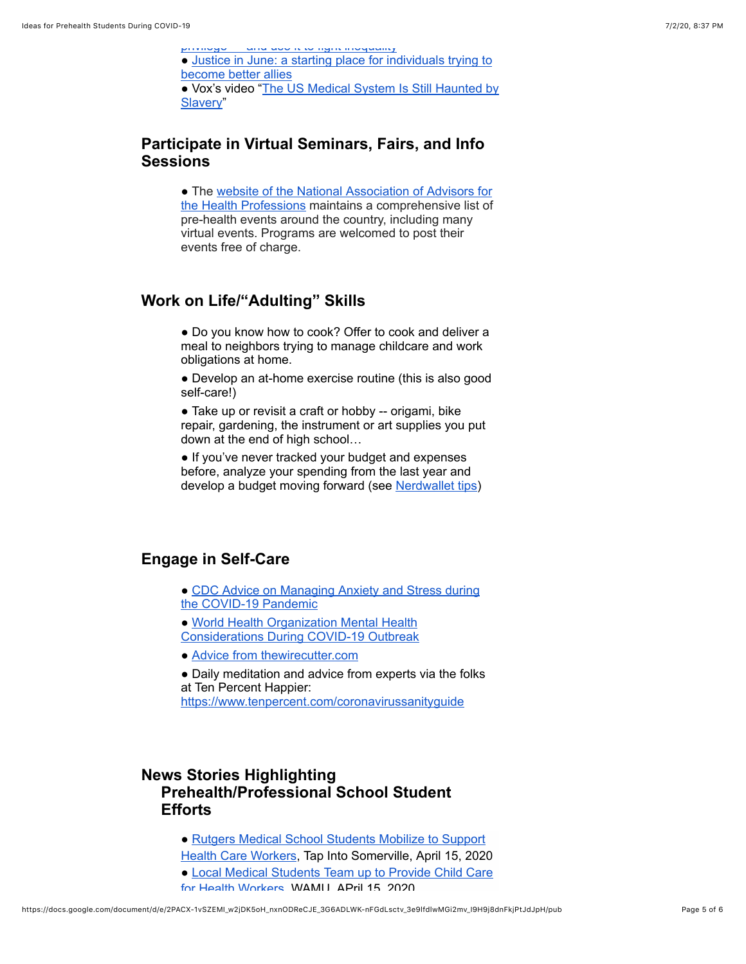[privilege — and use it to fight inequality](https://www.google.com/url?q=https://www.ted.com/talks/peggy_mcintosh_how_to_recognize_your_white_privilege_and_use_it_to_fight_inequality/transcript?language%3Den&sa=D&ust=1593743612297000&usg=AOvVaw2ElIOpDEE0q1eywbSkFI5G) ● [Justice in June: a starting place for individuals trying to](https://www.google.com/url?q=https://docs.google.com/document/d/1H-Vxs6jEUByXylMS2BjGH1kQ7mEuZnHpPSs1Bpaqmw0/preview?pru%3DAAABcqPaNWo*Mg4LEZBP-Klp_T3LUN6uJA%23&sa=D&ust=1593743612297000&usg=AOvVaw1YtJcmVO4cp0BKVSW8YtM-) become better allies ● [Vox's video "The US Medical System Is Still Haunted by](https://www.google.com/url?q=https://www.youtube.com/watch?v%3DIfYRzxeMdGs&sa=D&ust=1593743612297000&usg=AOvVaw1-rC-u-MJIUnc7etCoIGO9) Slavery"

## **Participate in Virtual Seminars, Fairs, and Info Sessions**

● The website of the National Association of Advisors for [the Health Professions maintains a comprehensive list of](https://www.google.com/url?q=https://www.naahp.org/naahpwwwsite/events/calendar?CommunityKey%3D8cf5a043-ec2a-467f-858f-27911619f2ac&sa=D&ust=1593743612298000&usg=AOvVaw3qSZ0A_j6bCltgiAd7ivl6) pre-health events around the country, including many virtual events. Programs are welcomed to post their events free of charge.

## <span id="page-4-0"></span>**Work on Life/"Adulting" Skills**

• Do you know how to cook? Offer to cook and deliver a meal to neighbors trying to manage childcare and work obligations at home.

• Develop an at-home exercise routine (this is also good self-care!)

• Take up or revisit a craft or hobby -- origami, bike repair, gardening, the instrument or art supplies you put down at the end of high school…

• If you've never tracked your budget and expenses before, analyze your spending from the last year and develop a budget moving forward (see [Nerdwallet tips\)](https://www.google.com/url?q=https://www.nerdwallet.com/blog/finance/budgeting-for-college-students/&sa=D&ust=1593743612299000&usg=AOvVaw1VsRH7uENUp6JhT36Mstct)

#### <span id="page-4-1"></span>**Engage in Self-Care**

• [CDC Advice on Managing Anxiety and Stress during](https://www.google.com/url?q=https://www.cdc.gov/coronavirus/2019-ncov/prepare/managing-stress-anxiety.html&sa=D&ust=1593743612299000&usg=AOvVaw3yey5c2MueoaZ_15oKs4Qz) the COVID-19 Pandemic

● World Health Organization Mental Health [Considerations During COVID-19 Outbreak](https://www.google.com/url?q=https://www.who.int/docs/default-source/coronaviruse/mental-health-considerations.pdf?sfvrsn%3D6d3578af_2&sa=D&ust=1593743612300000&usg=AOvVaw3zUi_0t2pFE6Iu1A55NFVB)

• [Advice from thewirecutter.com](https://www.google.com/url?q=https://thewirecutter.com/blog/coronavirus-self-care/&sa=D&ust=1593743612300000&usg=AOvVaw34Bw3Ip4lx3KcIUPyVqD9d)

• Daily meditation and advice from experts via the folks at Ten Percent Happier: [https://www.tenpercent.com/coronavirussanityguide](https://www.google.com/url?q=https://www.tenpercent.com/coronavirussanityguide&sa=D&ust=1593743612300000&usg=AOvVaw0WgYto4cLmYaImd551JFiB)

# **News Stories Highlighting Prehealth/Professional School Student Efforts**

- Rutgers Medical School Students Mobilize to Support [Health Care Workers, Tap Into Somerville, April 15, 2020](https://www.google.com/url?q=https://www.tapinto.net/towns/somerville/sections/giving-back/articles/rutgers-medical-school-students-mobilize-to-support-health-care-workers&sa=D&ust=1593743612301000&usg=AOvVaw3N0GRrG15aR9i2YMJIYnkF)
- [Local Medical Students Team up to Provide Child Care](https://www.google.com/url?q=https://wamu.org/story/20/04/15/local-medical-students-team-up-to-provide-child-care-for-health-workers/&sa=D&ust=1593743612301000&usg=AOvVaw0HwBVZ9oFAltJiPPINlwqg) for Health Workers, WAMU, APril 15, 2020